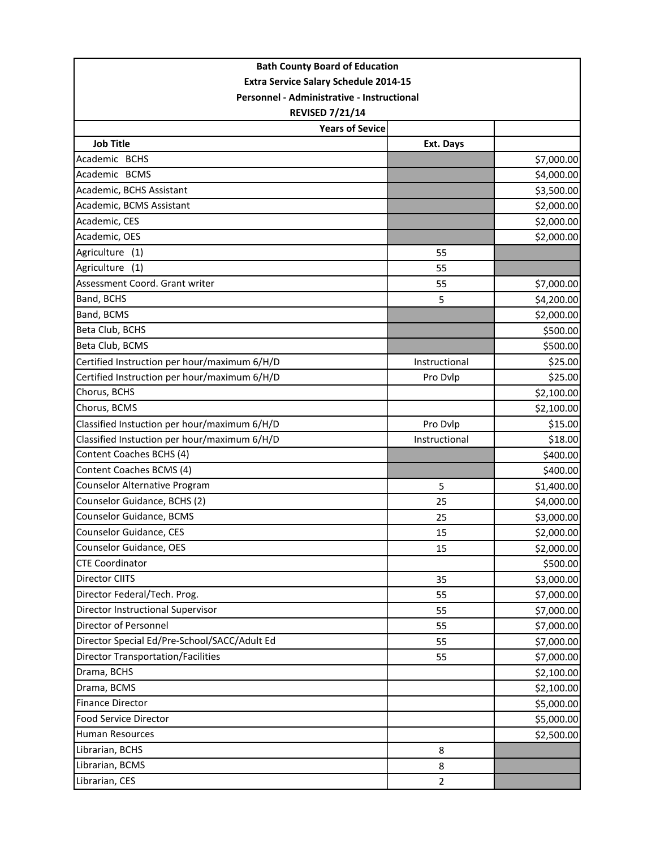| <b>Bath County Board of Education</b><br><b>Extra Service Salary Schedule 2014-15</b><br>Personnel - Administrative - Instructional<br><b>REVISED 7/21/14</b> |                |             |                        |           |            |
|---------------------------------------------------------------------------------------------------------------------------------------------------------------|----------------|-------------|------------------------|-----------|------------|
|                                                                                                                                                               |                |             | <b>Years of Sevice</b> |           |            |
|                                                                                                                                                               |                |             | <b>Job Title</b>       | Ext. Days |            |
|                                                                                                                                                               |                |             | Academic BCHS          |           | \$7,000.00 |
| Academic BCMS                                                                                                                                                 |                | \$4,000.00  |                        |           |            |
| Academic, BCHS Assistant                                                                                                                                      |                | \$3,500.00  |                        |           |            |
| Academic, BCMS Assistant                                                                                                                                      |                | \$2,000.00  |                        |           |            |
| Academic, CES                                                                                                                                                 |                | \$2,000.00  |                        |           |            |
| Academic, OES                                                                                                                                                 |                | \$2,000.00  |                        |           |            |
| Agriculture<br>(1)                                                                                                                                            | 55             |             |                        |           |            |
| Agriculture<br>(1)                                                                                                                                            | 55             |             |                        |           |            |
| Assessment Coord. Grant writer                                                                                                                                | 55             | \$7,000.00  |                        |           |            |
| Band, BCHS                                                                                                                                                    | 5              | \$4,200.00  |                        |           |            |
| Band, BCMS                                                                                                                                                    |                | \$2,000.00  |                        |           |            |
| Beta Club, BCHS                                                                                                                                               |                | \$500.00    |                        |           |            |
| Beta Club, BCMS                                                                                                                                               |                | \$500.00    |                        |           |            |
| Certified Instruction per hour/maximum 6/H/D                                                                                                                  | Instructional  | \$25.00     |                        |           |            |
| Certified Instruction per hour/maximum 6/H/D                                                                                                                  | Pro Dvlp       | \$25.00     |                        |           |            |
| Chorus, BCHS                                                                                                                                                  |                | \$2,100.00  |                        |           |            |
| Chorus, BCMS                                                                                                                                                  |                | \$2,100.00  |                        |           |            |
| Classified Instuction per hour/maximum 6/H/D                                                                                                                  | Pro Dvlp       | \$15.00     |                        |           |            |
| Classified Instuction per hour/maximum 6/H/D                                                                                                                  | Instructional  | \$18.00     |                        |           |            |
| Content Coaches BCHS (4)                                                                                                                                      |                | \$400.00    |                        |           |            |
| Content Coaches BCMS (4)                                                                                                                                      |                | \$400.00    |                        |           |            |
| Counselor Alternative Program                                                                                                                                 | 5              | \$1,400.00  |                        |           |            |
| Counselor Guidance, BCHS (2)                                                                                                                                  | 25             | \$4,000.00  |                        |           |            |
| Counselor Guidance, BCMS                                                                                                                                      | 25             | \$3,000.00  |                        |           |            |
| Counselor Guidance, CES                                                                                                                                       | 15             | \$2,000.00] |                        |           |            |
| Counselor Guidance, OES                                                                                                                                       | 15             | \$2,000.00  |                        |           |            |
| <b>CTE Coordinator</b>                                                                                                                                        |                | \$500.00    |                        |           |            |
| Director CIITS                                                                                                                                                | 35             | \$3,000.00  |                        |           |            |
| Director Federal/Tech. Prog.                                                                                                                                  | 55             | \$7,000.00  |                        |           |            |
| Director Instructional Supervisor                                                                                                                             | 55             | \$7,000.00  |                        |           |            |
| Director of Personnel                                                                                                                                         | 55             | \$7,000.00  |                        |           |            |
| Director Special Ed/Pre-School/SACC/Adult Ed                                                                                                                  | 55             | \$7,000.00  |                        |           |            |
| <b>Director Transportation/Facilities</b>                                                                                                                     | 55             | \$7,000.00  |                        |           |            |
| Drama, BCHS                                                                                                                                                   |                | \$2,100.00  |                        |           |            |
| Drama, BCMS                                                                                                                                                   |                | \$2,100.00  |                        |           |            |
| <b>Finance Director</b>                                                                                                                                       |                | \$5,000.00  |                        |           |            |
| Food Service Director                                                                                                                                         |                | \$5,000.00  |                        |           |            |
| Human Resources                                                                                                                                               |                | \$2,500.00  |                        |           |            |
| Librarian, BCHS                                                                                                                                               | 8              |             |                        |           |            |
| Librarian, BCMS                                                                                                                                               | 8              |             |                        |           |            |
| Librarian, CES                                                                                                                                                | $\overline{2}$ |             |                        |           |            |